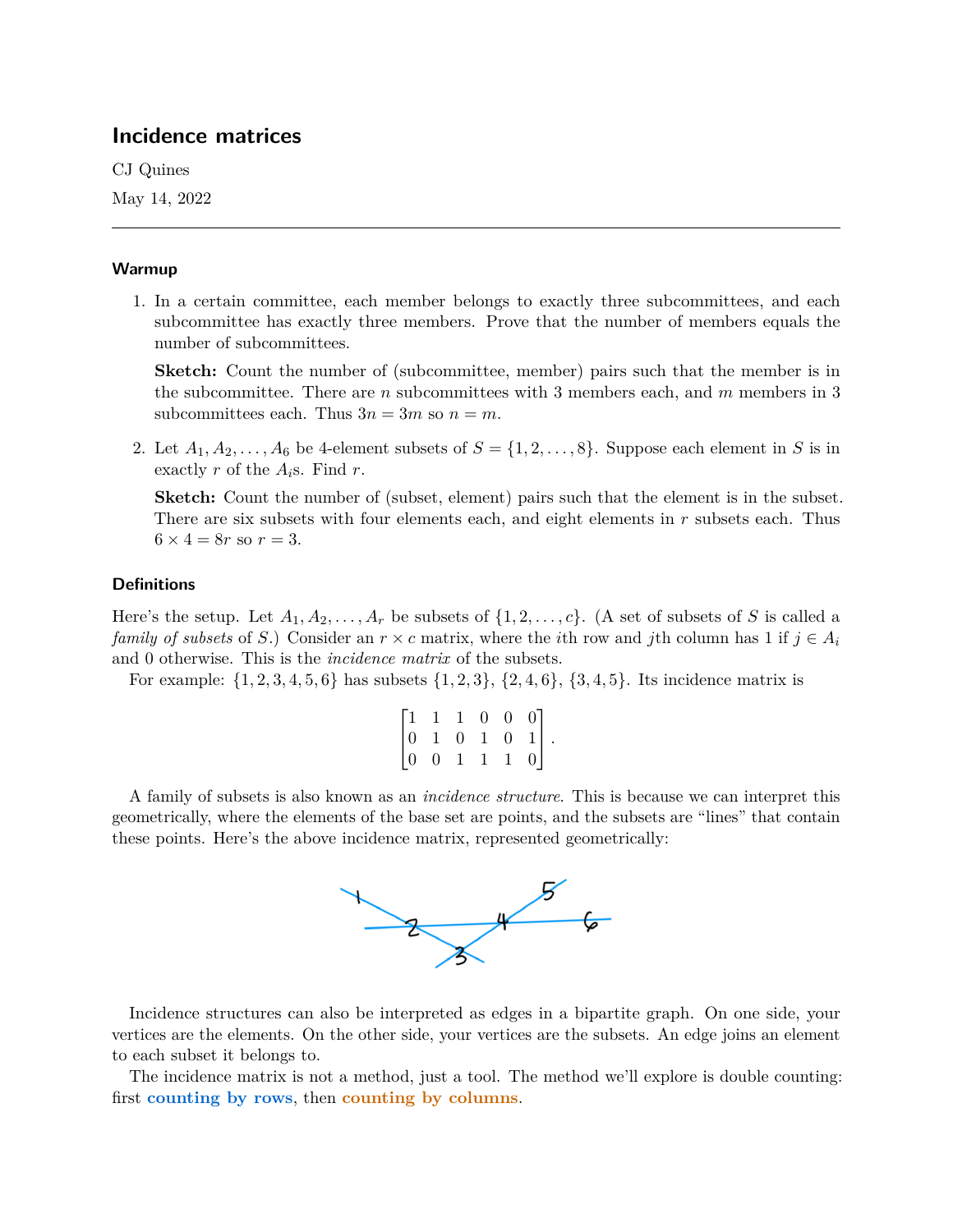# **Incidence matrices**

CJ Quines

May 14, 2022

# **Warmup**

1. In a certain committee, each member belongs to exactly three subcommittees, and each subcommittee has exactly three members. Prove that the number of members equals the number of subcommittees.

**Sketch:** Count the number of (subcommittee, member) pairs such that the member is in the subcommittee. There are  $n$  subcommittees with 3 members each, and  $m$  members in 3 subcommittees each. Thus  $3n = 3m$  so  $n = m$ .

2. Let  $A_1, A_2, \ldots, A_6$  be 4-element subsets of  $S = \{1, 2, \ldots, 8\}$ . Suppose each element in S is in exactly r of the  $A_i$ s. Find r.

**Sketch:** Count the number of (subset, element) pairs such that the element is in the subset. There are six subsets with four elements each, and eight elements in  $r$  subsets each. Thus  $6 \times 4 = 8r$  so  $r = 3$ .

# **Definitions**

Here's the setup. Let  $A_1, A_2, \ldots, A_r$  be subsets of  $\{1, 2, \ldots, c\}$ . (A set of subsets of S is called a *family of subsets* of S.) Consider an  $r \times c$  matrix, where the *i*th row and *j*th column has 1 if  $j \in A_i$ and 0 otherwise. This is the *incidence matrix* of the subsets.

For example:  $\{1, 2, 3, 4, 5, 6\}$  has subsets  $\{1, 2, 3\}$ ,  $\{2, 4, 6\}$ ,  $\{3, 4, 5\}$ . Its incidence matrix is

|  | $\begin{bmatrix} 1 & 1 & 1 & 0 & 0 & 0 \\ 0 & 1 & 0 & 1 & 0 & 1 \\ 0 & 0 & 1 & 1 & 1 & 0 \end{bmatrix}.$ |  |  |  |
|--|----------------------------------------------------------------------------------------------------------|--|--|--|
|  |                                                                                                          |  |  |  |

A family of subsets is also known as an *incidence structure*. This is because we can interpret this geometrically, where the elements of the base set are points, and the subsets are "lines" that contain these points. Here's the above incidence matrix, represented geometrically:



Incidence structures can also be interpreted as edges in a bipartite graph. On one side, your vertices are the elements. On the other side, your vertices are the subsets. An edge joins an element to each subset it belongs to.

The incidence matrix is not a method, just a tool. The method we'll explore is double counting: first **counting by rows**, then **counting by columns**.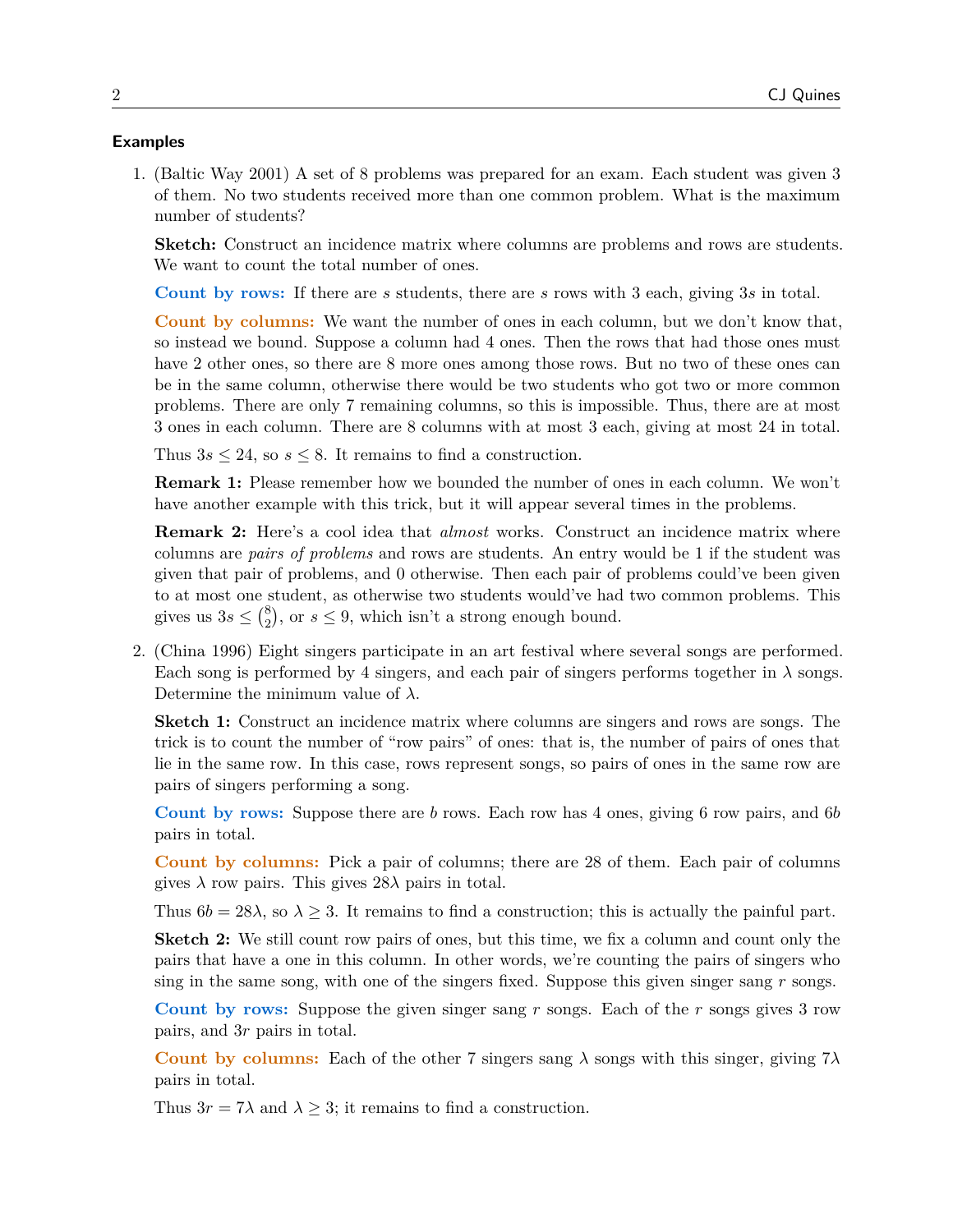#### **Examples**

1. (Baltic Way 2001) A set of 8 problems was prepared for an exam. Each student was given 3 of them. No two students received more than one common problem. What is the maximum number of students?

**Sketch:** Construct an incidence matrix where columns are problems and rows are students. We want to count the total number of ones.

**Count by rows:** If there are s students, there are s rows with 3 each, giving 3s in total.

**Count by columns:** We want the number of ones in each column, but we don't know that, so instead we bound. Suppose a column had 4 ones. Then the rows that had those ones must have 2 other ones, so there are 8 more ones among those rows. But no two of these ones can be in the same column, otherwise there would be two students who got two or more common problems. There are only 7 remaining columns, so this is impossible. Thus, there are at most 3 ones in each column. There are 8 columns with at most 3 each, giving at most 24 in total.

Thus  $3s \leq 24$ , so  $s \leq 8$ . It remains to find a construction.

**Remark 1:** Please remember how we bounded the number of ones in each column. We won't have another example with this trick, but it will appear several times in the problems.

**Remark 2:** Here's a cool idea that *almost* works. Construct an incidence matrix where columns are *pairs of problems* and rows are students. An entry would be 1 if the student was given that pair of problems, and 0 otherwise. Then each pair of problems could've been given to at most one student, as otherwise two students would've had two common problems. This gives us  $3s \leq {8 \choose 2}$  $_{2}^{8}$ ), or  $s \leq 9$ , which isn't a strong enough bound.

2. (China 1996) Eight singers participate in an art festival where several songs are performed. Each song is performed by 4 singers, and each pair of singers performs together in  $\lambda$  songs. Determine the minimum value of  $\lambda$ .

**Sketch 1:** Construct an incidence matrix where columns are singers and rows are songs. The trick is to count the number of "row pairs" of ones: that is, the number of pairs of ones that lie in the same row. In this case, rows represent songs, so pairs of ones in the same row are pairs of singers performing a song.

**Count by rows:** Suppose there are b rows. Each row has 4 ones, giving 6 row pairs, and 6b pairs in total.

**Count by columns:** Pick a pair of columns; there are 28 of them. Each pair of columns gives  $\lambda$  row pairs. This gives  $28\lambda$  pairs in total.

Thus  $6b = 28\lambda$ , so  $\lambda \geq 3$ . It remains to find a construction; this is actually the painful part.

**Sketch 2:** We still count row pairs of ones, but this time, we fix a column and count only the pairs that have a one in this column. In other words, we're counting the pairs of singers who sing in the same song, with one of the singers fixed. Suppose this given singer sang  $r$  songs.

**Count by rows:** Suppose the given singer sang r songs. Each of the r songs gives 3 row pairs, and 3r pairs in total.

**Count by columns:** Each of the other 7 singers sang  $\lambda$  songs with this singer, giving  $7\lambda$ pairs in total.

Thus  $3r = 7\lambda$  and  $\lambda \geq 3$ ; it remains to find a construction.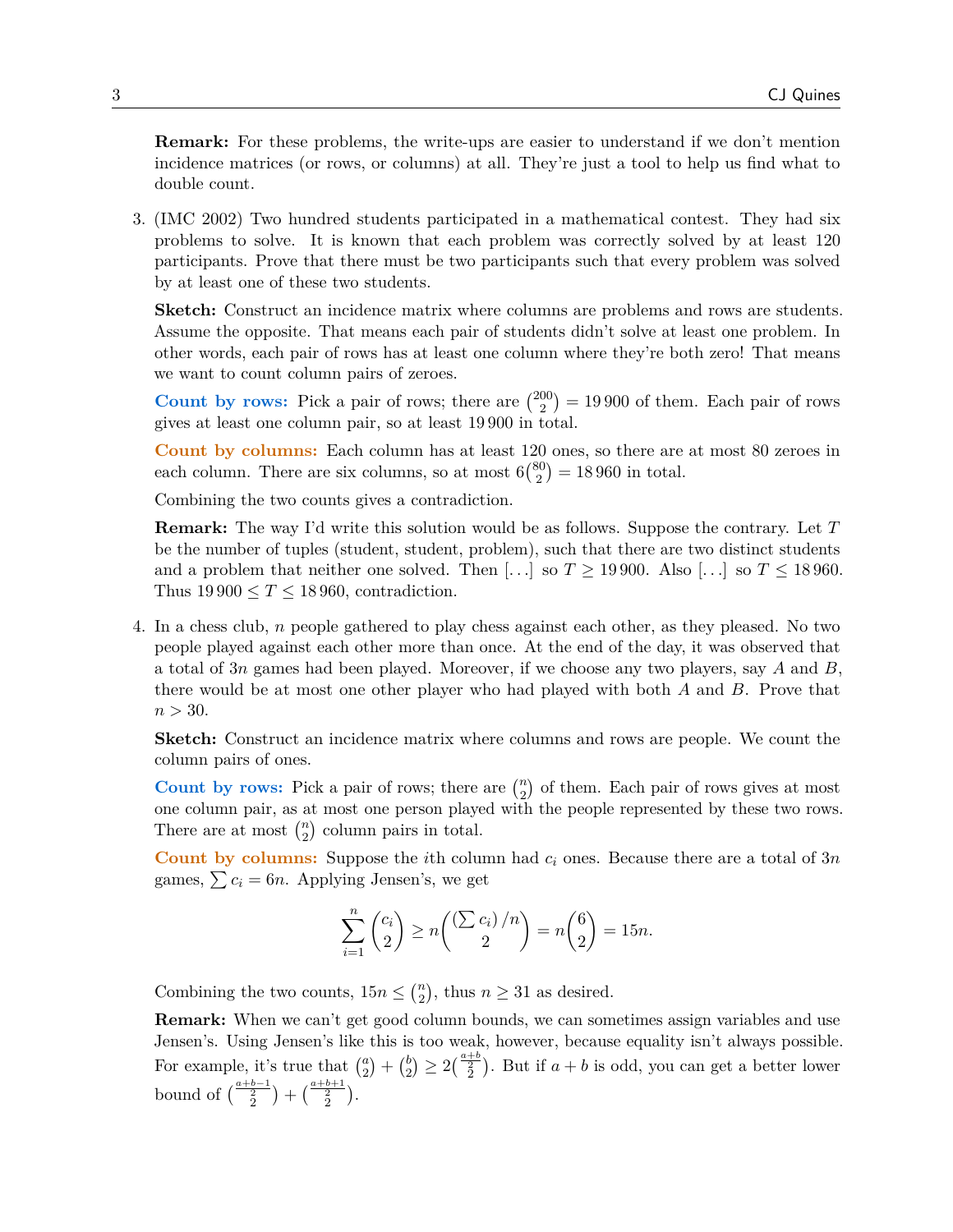**Remark:** For these problems, the write-ups are easier to understand if we don't mention incidence matrices (or rows, or columns) at all. They're just a tool to help us find what to double count.

3. (IMC 2002) Two hundred students participated in a mathematical contest. They had six problems to solve. It is known that each problem was correctly solved by at least 120 participants. Prove that there must be two participants such that every problem was solved by at least one of these two students.

**Sketch:** Construct an incidence matrix where columns are problems and rows are students. Assume the opposite. That means each pair of students didn't solve at least one problem. In other words, each pair of rows has at least one column where they're both zero! That means we want to count column pairs of zeroes.

**Count by rows:** Pick a pair of rows; there are  $\binom{200}{2}$  $\binom{00}{2}$  = 19 900 of them. Each pair of rows gives at least one column pair, so at least 19 900 in total.

**Count by columns:** Each column has at least 120 ones, so there are at most 80 zeroes in each column. There are six columns, so at most  $6\binom{80}{2}$  $\binom{30}{2} = 18\,960$  in total.

Combining the two counts gives a contradiction.

**Remark:** The way I'd write this solution would be as follows. Suppose the contrary. Let T be the number of tuples (student, student, problem), such that there are two distinct students and a problem that neither one solved. Then [...] so  $T \ge 19900$ . Also [...] so  $T \le 18960$ . Thus  $19\,900 \leq T \leq 18\,960$ , contradiction.

4. In a chess club, n people gathered to play chess against each other, as they pleased. No two people played against each other more than once. At the end of the day, it was observed that a total of 3n games had been played. Moreover, if we choose any two players, say A and  $B$ , there would be at most one other player who had played with both A and B. Prove that  $n > 30$ .

**Sketch:** Construct an incidence matrix where columns and rows are people. We count the column pairs of ones.

**Count by rows:** Pick a pair of rows; there are  $\binom{n}{2}$  $\binom{n}{2}$  of them. Each pair of rows gives at most one column pair, as at most one person played with the people represented by these two rows. There are at most  $\binom{n}{2}$  $n_2$  column pairs in total.

**Count by columns:** Suppose the *i*th column had  $c_i$  ones. Because there are a total of 3n games,  $\sum c_i = 6n$ . Applying Jensen's, we get

$$
\sum_{i=1}^{n} {c_i \choose 2} \ge n \binom{(\sum c_i)/n}{2} = n \binom{6}{2} = 15n.
$$

Combining the two counts,  $15n \leq {n \choose 2}$  $n \geq 31$  as desired.

**Remark:** When we can't get good column bounds, we can sometimes assign variables and use Jensen's. Using Jensen's like this is too weak, however, because equality isn't always possible. For example, it's true that  $\binom{a}{2}$  $\binom{a}{2} + \binom{b}{2}$  $\binom{b}{2} \geq 2\binom{\frac{a+b}{2}}{2}$ . But if  $a+b$  is odd, you can get a better lower bound of  $\binom{\frac{a+b-1}{2}}{\frac{c}{2}} + \binom{\frac{a+b+1}{2}}{\frac{c}{2}}$ .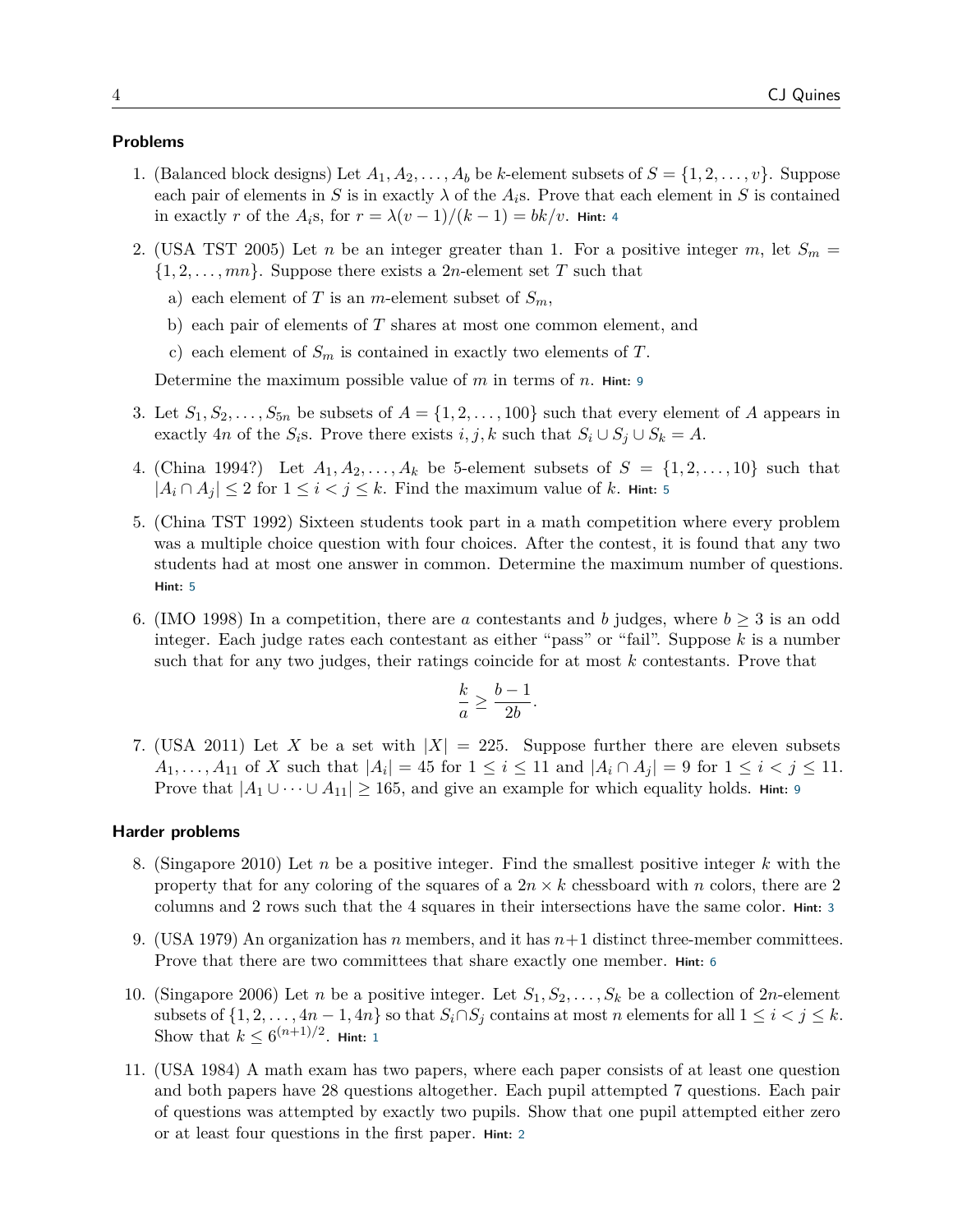# **Problems**

- 1. (Balanced block designs) Let  $A_1, A_2, \ldots, A_b$  be k-element subsets of  $S = \{1, 2, \ldots, v\}$ . Suppose each pair of elements in S is in exactly  $\lambda$  of the  $A_i$ s. Prove that each element in S is contained in exactly r of the  $A_i$ s, for  $r = \lambda (v - 1)/(k - 1) = bk/v$ . **Hint:** [4](#page-4-0)
- 2. (USA TST 2005) Let n be an integer greater than 1. For a positive integer m, let  $S_m =$  $\{1, 2, \ldots, mn\}$ . Suppose there exists a 2*n*-element set T such that
	- a) each element of T is an m-element subset of  $S_m$ ,
	- b) each pair of elements of T shares at most one common element, and
	- c) each element of  $S_m$  is contained in exactly two elements of T.

Determine the maximum possible value of m in terms of n. **Hint:** [9](#page-4-1)

- 3. Let  $S_1, S_2, \ldots, S_{5n}$  be subsets of  $A = \{1, 2, \ldots, 100\}$  such that every element of A appears in exactly 4n of the  $S_i$ s. Prove there exists  $i, j, k$  such that  $S_i \cup S_j \cup S_k = A$ .
- 4. (China 1994?) Let  $A_1, A_2, \ldots, A_k$  be 5-element subsets of  $S = \{1, 2, \ldots, 10\}$  such that  $|A_i \cap A_j|$  ≤ 2 for  $1 \leq i < j \leq k$ . Find the maximum value of k. Hint: [5](#page-4-2)
- 5. (China TST 1992) Sixteen students took part in a math competition where every problem was a multiple choice question with four choices. After the contest, it is found that any two students had at most one answer in common. Determine the maximum number of questions. **Hint:** [5](#page-4-2)
- 6. (IMO 1998) In a competition, there are a contestants and b judges, where  $b > 3$  is an odd integer. Each judge rates each contestant as either "pass" or "fail". Suppose  $k$  is a number such that for any two judges, their ratings coincide for at most k contestants. Prove that

$$
\frac{k}{a} \ge \frac{b-1}{2b}.
$$

7. (USA 2011) Let X be a set with  $|X| = 225$ . Suppose further there are eleven subsets  $A_1, ..., A_{11}$  of X such that  $|A_i| = 45$  for  $1 \le i \le 11$  and  $|A_i \cap A_j| = 9$  for  $1 \le i < j \le 11$ . Prove that  $|A_1 \cup \cdots \cup A_{11}| \geq 165$ , and give an example for which equality holds. **Hint:** [9](#page-4-1)

# **Harder problems**

- 8. (Singapore 2010) Let n be a positive integer. Find the smallest positive integer k with the property that for any coloring of the squares of a  $2n \times k$  chessboard with n colors, there are 2 columns and 2 rows such that the 4 squares in their intersections have the same color. **Hint:** [3](#page-4-3)
- 9. (USA 1979) An organization has n members, and it has  $n+1$  distinct three-member committees. Prove that there are two committees that share exactly one member. **Hint:** [6](#page-4-4)
- 10. (Singapore 2006) Let n be a positive integer. Let  $S_1, S_2, \ldots, S_k$  be a collection of 2n-element subsets of  $\{1, 2, \ldots, 4n - 1, 4n\}$  so that  $S_i \cap S_j$  contains at most n elements for all  $1 \leq i < j \leq k$ . Show that  $k \leq 6^{(n+1)/2}$  $k \leq 6^{(n+1)/2}$  $k \leq 6^{(n+1)/2}$ . **Hint:** 1
- 11. (USA 1984) A math exam has two papers, where each paper consists of at least one question and both papers have 28 questions altogether. Each pupil attempted 7 questions. Each pair of questions was attempted by exactly two pupils. Show that one pupil attempted either zero or at least four questions in the first paper. **Hint:** [2](#page-4-6)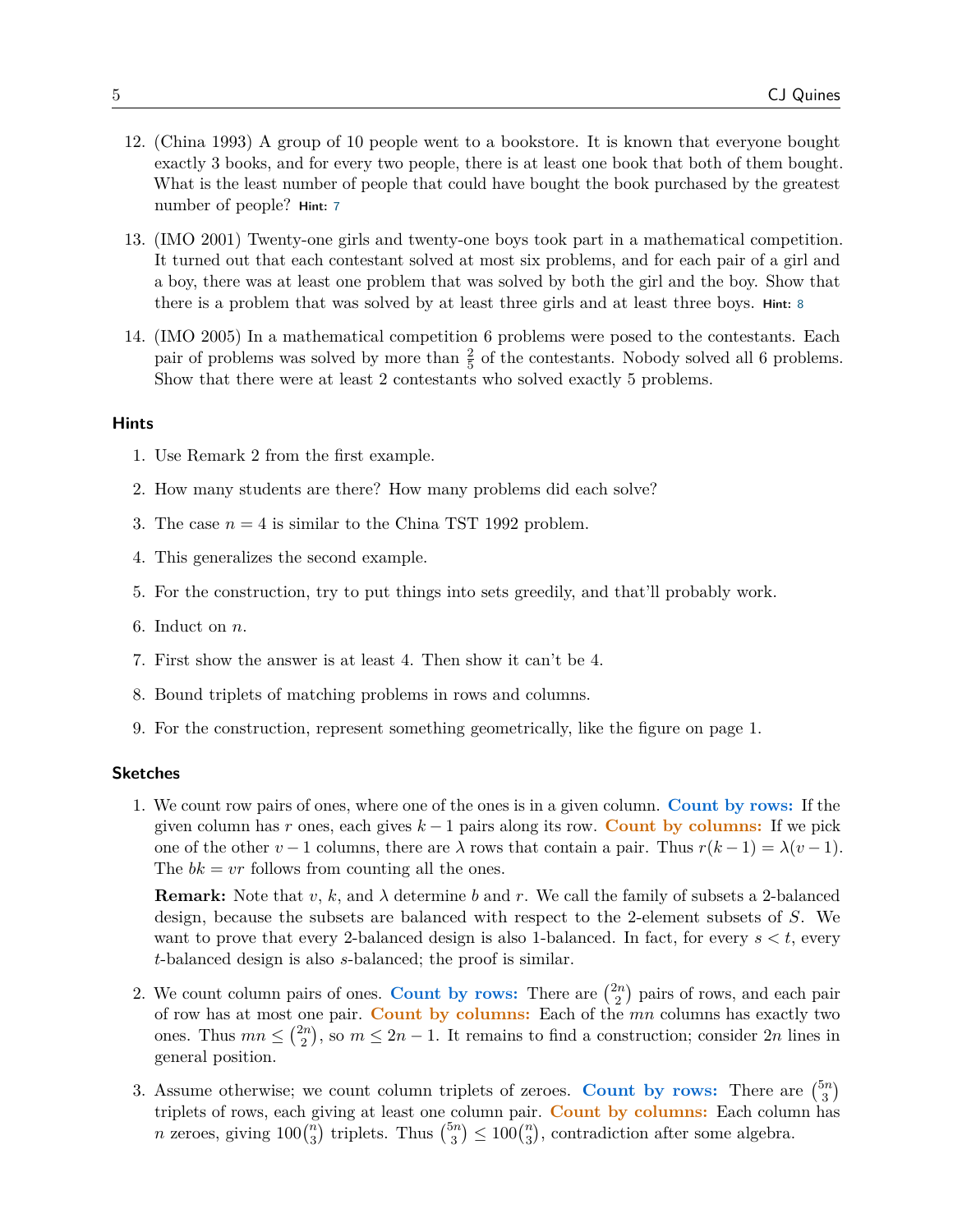- 12. (China 1993) A group of 10 people went to a bookstore. It is known that everyone bought exactly 3 books, and for every two people, there is at least one book that both of them bought. What is the least number of people that could have bought the book purchased by the greatest number of people? **Hint:** [7](#page-4-7)
- 13. (IMO 2001) Twenty-one girls and twenty-one boys took part in a mathematical competition. It turned out that each contestant solved at most six problems, and for each pair of a girl and a boy, there was at least one problem that was solved by both the girl and the boy. Show that there is a problem that was solved by at least three girls and at least three boys. **Hint:** [8](#page-4-8)
- 14. (IMO 2005) In a mathematical competition 6 problems were posed to the contestants. Each pair of problems was solved by more than  $\frac{2}{5}$  of the contestants. Nobody solved all 6 problems. Show that there were at least 2 contestants who solved exactly 5 problems.

#### <span id="page-4-5"></span>**Hints**

- 1. Use Remark 2 from the first example.
- <span id="page-4-6"></span>2. How many students are there? How many problems did each solve?
- <span id="page-4-3"></span>3. The case  $n = 4$  is similar to the China TST 1992 problem.
- <span id="page-4-0"></span>4. This generalizes the second example.
- <span id="page-4-2"></span>5. For the construction, try to put things into sets greedily, and that'll probably work.
- <span id="page-4-4"></span>6. Induct on n.
- <span id="page-4-7"></span>7. First show the answer is at least 4. Then show it can't be 4.
- <span id="page-4-8"></span>8. Bound triplets of matching problems in rows and columns.
- <span id="page-4-1"></span>9. For the construction, represent something geometrically, like the figure on page 1.

## **Sketches**

1. We count row pairs of ones, where one of the ones is in a given column. **Count by rows:** If the given column has r ones, each gives  $k - 1$  pairs along its row. **Count by columns:** If we pick one of the other  $v - 1$  columns, there are  $\lambda$  rows that contain a pair. Thus  $r(k-1) = \lambda(v-1)$ . The  $bk = vr$  follows from counting all the ones.

**Remark:** Note that v, k, and  $\lambda$  determine b and r. We call the family of subsets a 2-balanced design, because the subsets are balanced with respect to the 2-element subsets of S. We want to prove that every 2-balanced design is also 1-balanced. In fact, for every  $s < t$ , every t-balanced design is also s-balanced; the proof is similar.

- 2. We count column pairs of ones. Count by rows: There are  $\binom{2n}{2}$  $\binom{2n}{2}$  pairs of rows, and each pair of row has at most one pair. **Count by columns:** Each of the mn columns has exactly two ones. Thus  $mn \leq \binom{2n}{2}$  $\binom{2n}{2}$ , so  $m \leq 2n - 1$ . It remains to find a construction; consider  $2n$  lines in general position.
- 3. Assume otherwise; we count column triplets of zeroes. Count by rows: There are  $\binom{5n}{3}$  $\binom{5n}{3}$ triplets of rows, each giving at least one column pair. **Count by columns:** Each column has *n* zeroes, giving  $100\binom{n}{3}$  $\binom{n}{3}$  triplets. Thus  $\binom{5n}{3}$  $\binom{5n}{3} \le 100 \binom{n}{3}$  $\binom{n}{3}$ , contradiction after some algebra.